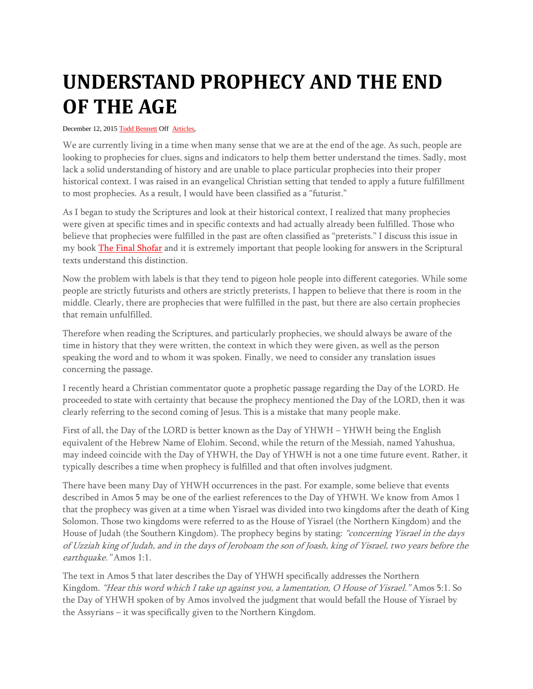## **UNDERSTAND PROPHECY AND THE END OF THE AGE**

## December 12, 2015 [Todd Bennett](http://shemayisrael.net/author/tbennett/) Off [Articles,](http://shemayisrael.net/category/articles/)

We are currently living in a time when many sense that we are at the end of the age. As such, people are looking to prophecies for clues, signs and indicators to help them better understand the times. Sadly, most lack a solid understanding of history and are unable to place particular prophecies into their proper historical context. I was raised in an evangelical Christian setting that tended to apply a future fulfillment to most prophecies. As a result, I would have been classified as a "futurist."

As I began to study the Scriptures and look at their historical context, I realized that many prophecies were given at specific times and in specific contexts and had actually already been fulfilled. Those who believe that prophecies were fulfilled in the past are often classified as "preterists." I discuss this issue in my book [The Final Shofar](http://shemayisrael.net/shop/books/the-final-shofar-walk-in-the-light-vol-12/) and it is extremely important that people looking for answers in the Scriptural texts understand this distinction.

Now the problem with labels is that they tend to pigeon hole people into different categories. While some people are strictly futurists and others are strictly preterists, I happen to believe that there is room in the middle. Clearly, there are prophecies that were fulfilled in the past, but there are also certain prophecies that remain unfulfilled.

Therefore when reading the Scriptures, and particularly prophecies, we should always be aware of the time in history that they were written, the context in which they were given, as well as the person speaking the word and to whom it was spoken. Finally, we need to consider any translation issues concerning the passage.

I recently heard a Christian commentator quote a prophetic passage regarding the Day of the LORD. He proceeded to state with certainty that because the prophecy mentioned the Day of the LORD, then it was clearly referring to the second coming of Jesus. This is a mistake that many people make.

First of all, the Day of the LORD is better known as the Day of YHWH – YHWH being the English equivalent of the Hebrew Name of Elohim. Second, while the return of the Messiah, named Yahushua, may indeed coincide with the Day of YHWH, the Day of YHWH is not a one time future event. Rather, it typically describes a time when prophecy is fulfilled and that often involves judgment.

There have been many Day of YHWH occurrences in the past. For example, some believe that events described in Amos 5 may be one of the earliest references to the Day of YHWH. We know from Amos 1 that the prophecy was given at a time when Yisrael was divided into two kingdoms after the death of King Solomon. Those two kingdoms were referred to as the House of Yisrael (the Northern Kingdom) and the House of Judah (the Southern Kingdom). The prophecy begins by stating: "concerning Yisrael in the days of Uzziah king of Judah, and in the days of Jeroboam the son of Joash, king of Yisrael, two years before the earthquake." Amos 1:1.

The text in Amos 5 that later describes the Day of YHWH specifically addresses the Northern Kingdom. "Hear this word which I take up against you, a lamentation, O House of Yisrael." Amos 5:1. So the Day of YHWH spoken of by Amos involved the judgment that would befall the House of Yisrael by the Assyrians – it was specifically given to the Northern Kingdom.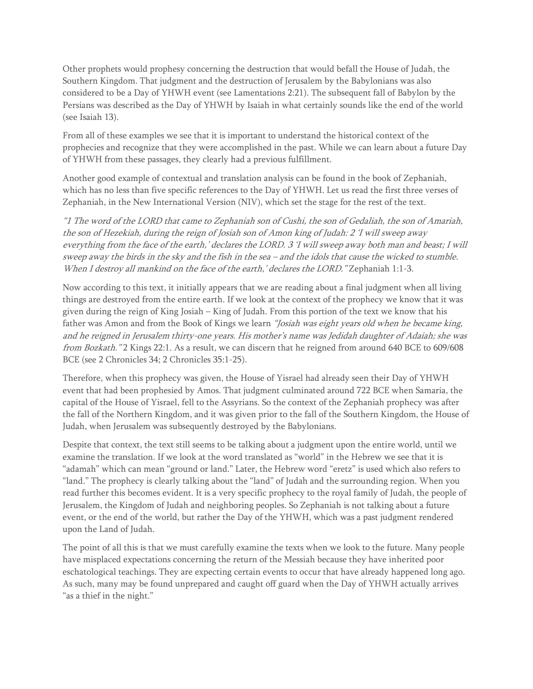Other prophets would prophesy concerning the destruction that would befall the House of Judah, the Southern Kingdom. That judgment and the destruction of Jerusalem by the Babylonians was also considered to be a Day of YHWH event (see Lamentations 2:21). The subsequent fall of Babylon by the Persians was described as the Day of YHWH by Isaiah in what certainly sounds like the end of the world (see Isaiah 13).

From all of these examples we see that it is important to understand the historical context of the prophecies and recognize that they were accomplished in the past. While we can learn about a future Day of YHWH from these passages, they clearly had a previous fulfillment.

Another good example of contextual and translation analysis can be found in the book of Zephaniah, which has no less than five specific references to the Day of YHWH. Let us read the first three verses of Zephaniah, in the New International Version (NIV), which set the stage for the rest of the text.

"1 The word of the LORD that came to Zephaniah son of Cushi, the son of Gedaliah, the son of Amariah, the son of Hezekiah, during the reign of Josiah son of Amon king of Judah: 2 'I will sweep away everything from the face of the earth,' declares the LORD. 3 'I will sweep away both man and beast; I will sweep away the birds in the sky and the fish in the sea – and the idols that cause the wicked to stumble. When I destroy all mankind on the face of the earth,' declares the LORD." Zephaniah 1:1-3.

Now according to this text, it initially appears that we are reading about a final judgment when all living things are destroyed from the entire earth. If we look at the context of the prophecy we know that it was given during the reign of King Josiah – King of Judah. From this portion of the text we know that his father was Amon and from the Book of Kings we learn "Josiah was eight years old when he became king, and he reigned in Jerusalem thirty-one years. His mother's name was Jedidah daughter of Adaiah; she was from Bozkath." 2 Kings 22:1. As a result, we can discern that he reigned from around 640 BCE to 609/608 BCE (see 2 Chronicles 34; 2 Chronicles 35:1-25).

Therefore, when this prophecy was given, the House of Yisrael had already seen their Day of YHWH event that had been prophesied by Amos. That judgment culminated around 722 BCE when Samaria, the capital of the House of Yisrael, fell to the Assyrians. So the context of the Zephaniah prophecy was after the fall of the Northern Kingdom, and it was given prior to the fall of the Southern Kingdom, the House of Judah, when Jerusalem was subsequently destroyed by the Babylonians.

Despite that context, the text still seems to be talking about a judgment upon the entire world, until we examine the translation. If we look at the word translated as "world" in the Hebrew we see that it is "adamah" which can mean "ground or land." Later, the Hebrew word "eretz" is used which also refers to "land." The prophecy is clearly talking about the "land" of Judah and the surrounding region. When you read further this becomes evident. It is a very specific prophecy to the royal family of Judah, the people of Jerusalem, the Kingdom of Judah and neighboring peoples. So Zephaniah is not talking about a future event, or the end of the world, but rather the Day of the YHWH, which was a past judgment rendered upon the Land of Judah.

The point of all this is that we must carefully examine the texts when we look to the future. Many people have misplaced expectations concerning the return of the Messiah because they have inherited poor eschatological teachings. They are expecting certain events to occur that have already happened long ago. As such, many may be found unprepared and caught off guard when the Day of YHWH actually arrives "as a thief in the night."